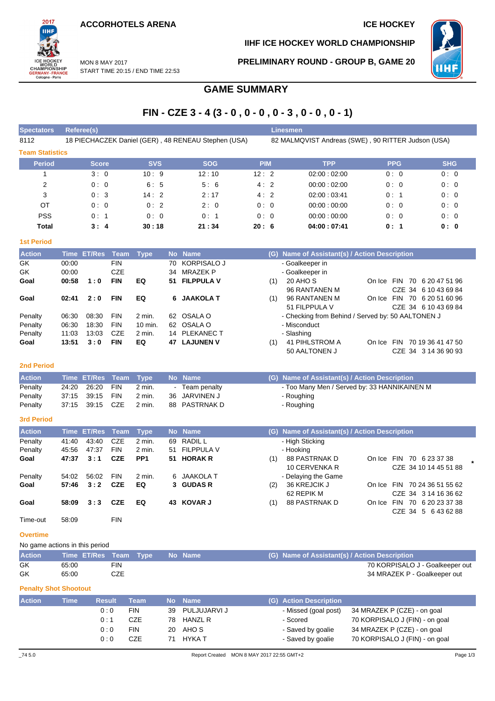**ACCORHOTELS ARENA ICE HOCKEY** 



**IIHF ICE HOCKEY WORLD CHAMPIONSHIP**

**PRELIMINARY ROUND - GROUP B, GAME 20**

**WHI** 

MON 8 MAY 2017 START TIME 20:15 / END TIME 22:53

# **GAME SUMMARY**

# **FIN - CZE 3 - 4 (3 - 0 , 0 - 0 , 0 - 3 , 0 - 0 , 0 - 1)**

| <b>Spectators</b>      | Referee(s)   |            |                                                     | <b>Linesmen</b> |                                                    |            |            |
|------------------------|--------------|------------|-----------------------------------------------------|-----------------|----------------------------------------------------|------------|------------|
| 8112                   |              |            | 18 PIECHACZEK Daniel (GER), 48 RENEAU Stephen (USA) |                 | 82 MALMQVIST Andreas (SWE), 90 RITTER Judson (USA) |            |            |
| <b>Team Statistics</b> |              |            |                                                     |                 |                                                    |            |            |
| <b>Period</b>          | <b>Score</b> | <b>SVS</b> | <b>SOG</b>                                          | <b>PIM</b>      | <b>TPP</b>                                         | <b>PPG</b> | <b>SHG</b> |
|                        | 3:0          | 10:9       | 12:10                                               | 12:2            | 02:00:02:00                                        | 0:0        | 0:0        |
| $\overline{2}$         | 0:0          | 6:5        | 5:6                                                 | 4:2             | 00:00:02:00                                        | 0:0        | 0:0        |
| 3                      | 0:3          | 14:2       | 2:17                                                | 4:2             | 02:00:03:41                                        | 0:1        | 0:0        |
| OT                     | 0:0          | 0:2        | 2:0                                                 | 0:0             | 00:00:00:00                                        | 0:0        | 0:0        |
| <b>PSS</b>             | 0:1          | 0:0        | 0:1                                                 | 0:0             | 00:00:00:00                                        | 0:0        | 0:0        |
| Total                  | 3:4          | 30:18      | 21:34                                               | 20:6            | 04:00:07:41                                        | 0:1        | 0: 0       |
|                        |              |            |                                                     |                 |                                                    |            |            |

## **1st Period**

| <b>Action</b> |       | Time ET/Res Team Type |            |          |    | No Name          |     | (G) Name of Assistant(s) / Action Description        |
|---------------|-------|-----------------------|------------|----------|----|------------------|-----|------------------------------------------------------|
| GK.           | 00:00 |                       | <b>FIN</b> |          |    | 70 KORPISALO J   |     | - Goalkeeper in                                      |
| GK            | 00:00 |                       | <b>CZE</b> |          |    | 34 MRAZEK P      |     | - Goalkeeper in                                      |
| Goal          | 00:58 | 1:0                   | <b>FIN</b> | EQ       |    | 51 FILPPULA V    | (1) | 20 AHO S<br>FIN 70 6 20 47 51 96<br>On Ice           |
|               |       |                       |            |          |    |                  |     | 96 RANTANEN M<br>CZE 34 6 10 43 69 84                |
| Goal          | 02:41 | 2:0                   | <b>FIN</b> | EQ       |    | 6 JAAKOLA T      | (1) | 96 RANTANEN M<br>FIN 70 6 20 51 60 96<br>On Ice      |
|               |       |                       |            |          |    |                  |     | 51 FILPPULA V<br>CZE 34 6 10 43 69 84                |
| Penalty       | 06:30 | 08:30                 | <b>FIN</b> | 2 min.   |    | 62 OSALA O       |     | - Checking from Behind / Served by: 50 AALTONEN J    |
| Penalty       | 06:30 | 18:30                 | <b>FIN</b> | 10 min.  |    | 62 OSALA O       |     | - Misconduct                                         |
| Penalty       | 11:03 | 13:03                 | <b>CZE</b> | $2$ min. |    | 14 PLEKANEC T    |     | - Slashing                                           |
| Goal          | 13:51 | 3:0                   | <b>FIN</b> | EQ       | 47 | <b>LAJUNEN V</b> | (1) | 41 PIHLSTROM A<br>70 19 36 41 47 50<br>FIN<br>On Ice |
|               |       |                       |            |          |    |                  |     | 50 AALTONEN J<br>CZE 34 3 14 36 90 93                |

### **2nd Period**

| <b>Action</b> |       | Time ET/Res Team Type |     |          | No Name       | (G) Name of Assistant(s) / Action Description |
|---------------|-------|-----------------------|-----|----------|---------------|-----------------------------------------------|
| Penalty       | 24:20 | 26:20                 | FIN | $2$ min. | Team penalty  | - Too Many Men / Served by: 33 HANNIKAINEN M  |
| Penalty       |       |                       |     | 2 min.   | 36 JARVINEN J | - Roughing                                    |
| Penalty       |       |                       |     | 2 min.   | 88 PASTRNAK D | - Roughing                                    |

### **3rd Period**

| <b>Action</b> |       | Time ET/Res Team |            | Type            |    | No Name        |     | (G) Name of Assistant(s) / Action Description |            |                                |  |
|---------------|-------|------------------|------------|-----------------|----|----------------|-----|-----------------------------------------------|------------|--------------------------------|--|
|               |       |                  |            |                 |    |                |     |                                               |            |                                |  |
| Penalty       | 41:40 | 43.40            | CZE        | 2 min.          | 69 | RADIL L        |     | - High Sticking                               |            |                                |  |
| Penalty       | 45:56 | 47:37            | <b>FIN</b> | 2 min.          |    | 51 FILPPULA V  |     | - Hooking                                     |            |                                |  |
| Goal          | 47:37 | 3:1              | <b>CZE</b> | PP <sub>1</sub> |    | 51 HORAK R     | (1) | 88 PASTRNAK D                                 | On Ice FIN | 70 6 23 37 38                  |  |
|               |       |                  |            |                 |    |                |     | 10 CERVENKA R                                 |            | CZE 34 10 14 45 51 88          |  |
| Penalty       | 54:02 | 56:02            | <b>FIN</b> | 2 min.          |    | 6 JAAKOLA T    |     | - Delaying the Game                           |            |                                |  |
| Goal          | 57:46 | 3:2              | <b>CZE</b> | EQ              |    | 3 GUDAS R      | (2) | 36 KREJCIK J                                  |            | On Ice FIN 70 24 36 51 55 62   |  |
|               |       |                  |            |                 |    |                |     | 62 REPIK M                                    |            | CZE 34 3 14 16 36 62           |  |
| Goal          | 58:09 | 3:3              | <b>CZE</b> | EQ              | 43 | <b>KOVAR J</b> | (1) | 88 PASTRNAK D                                 | On Ice     | 70 6 20 23 37 38<br><b>FIN</b> |  |
|               |       |                  |            |                 |    |                |     |                                               |            | CZE 34 5 6 43 62 88            |  |
| Time-out      | 58:09 |                  | <b>FIN</b> |                 |    |                |     |                                               |            |                                |  |

### **Overtime**

No game actions in this period

| <b>Action</b> |       |     | Time ET/Res Team Type No Name | (G) Name of Assistant(s) / Action Description |
|---------------|-------|-----|-------------------------------|-----------------------------------------------|
| GK            | 65:00 | FIN |                               | 70 KORPISALO J - Goalkeeper out               |
| GK            | 65:00 | CZE |                               | 34 MRAZEK P - Goalkeeper out                  |

## **Penalty Shot Shootout**

| <b>Action</b> | Time' | <b>Result</b> | Team       |    | No Name        | (G) Action Description |                                |
|---------------|-------|---------------|------------|----|----------------|------------------------|--------------------------------|
|               |       | 0:0           | <b>FIN</b> | 39 | PULJUJARVI J   | - Missed (goal post)   | 34 MRAZEK P (CZE) - on goal    |
|               |       | 0:1           | CZE        | 78 | <b>HANZL R</b> | - Scored               | 70 KORPISALO J (FIN) - on goal |
|               |       | 0:0           | <b>FIN</b> | 20 | AHO S          | - Saved by goalie      | 34 MRAZEK P (CZE) - on goal    |
|               |       | 0:0           | CZE        |    | <b>HYKA T</b>  | - Saved by goalie      | 70 KORPISALO J (FIN) - on goal |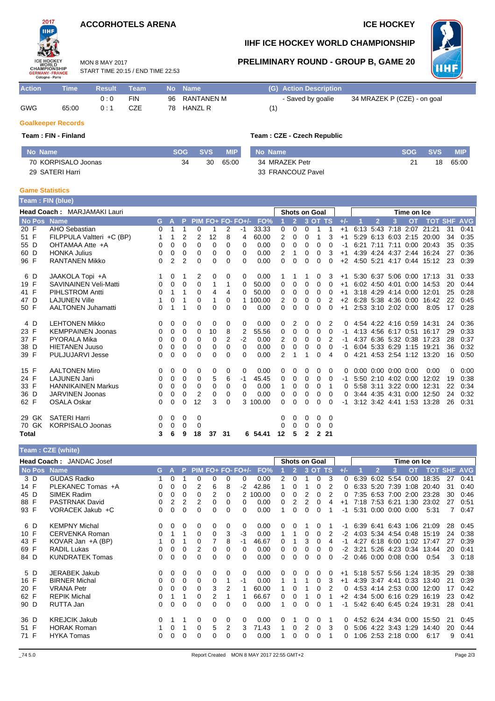## **ACCORHOTELS ARENA ICE HOCKEY**

START TIME 20:15 / END TIME 22:53

MON 8 MAY 2017



## **IIHF ICE HOCKEY WORLD CHAMPIONSHIP**

## **PRELIMINARY ROUND - GROUP B, GAME 20**



| <b>Action</b> | Time  | <b>Result</b> | Team |    | No Name        |                 | (G) Action Description |                             |
|---------------|-------|---------------|------|----|----------------|-----------------|------------------------|-----------------------------|
|               |       | n · n         | FIN  | 96 | RANTANEN M     |                 | - Saved by goalie      | 34 MRAZEK P (CZE) - on goal |
| <b>GWG</b>    | 65:00 | ∩ · 1         | CZE  | 78 | <b>HANZL R</b> | '1 <sub>1</sub> |                        |                             |

## **Goalkeeper Records**

## **Team : FIN - Finland Team : CZE - Czech Republic**

| No Name             | SOG | SVS 4 | <b>MIP</b> | No Name           | <b>SOG</b> | <b>SVS</b> | <b>MIP</b> |
|---------------------|-----|-------|------------|-------------------|------------|------------|------------|
| 70 KORPISALO Joonas | 34  | 30    | 65:00      | 34 MRAZEK Petr    |            | 18         | 65:00      |
| 29 SATERI Harri     |     |       |            | 33 FRANCOUZ Pavel |            |            |            |

### **Game Statistics**

|       | Team : FIN (blue)<br><b>Head Coach: MARJAMAKI Lauri</b> |    |                |          |          |    |                |                   |          |          |                                                                                                                                                                                                                                                                                                                                                                                                                                                                                                                                                                                                                                                                                                                                                                                                                                                                                                                                                                                                                                                                                                                                                                                                  |          |              |          |    |      |                |                |      |                           |    |      |
|-------|---------------------------------------------------------|----|----------------|----------|----------|----|----------------|-------------------|----------|----------|--------------------------------------------------------------------------------------------------------------------------------------------------------------------------------------------------------------------------------------------------------------------------------------------------------------------------------------------------------------------------------------------------------------------------------------------------------------------------------------------------------------------------------------------------------------------------------------------------------------------------------------------------------------------------------------------------------------------------------------------------------------------------------------------------------------------------------------------------------------------------------------------------------------------------------------------------------------------------------------------------------------------------------------------------------------------------------------------------------------------------------------------------------------------------------------------------|----------|--------------|----------|----|------|----------------|----------------|------|---------------------------|----|------|
|       |                                                         |    |                |          |          |    |                |                   |          |          | <b>Shots on Goal</b><br>Time on Ice<br><b>OT</b><br><b>TOT SHF AVG</b><br>$\overline{2}$<br>3 OT TS<br>$+/-$<br>3<br>6:13 5:43 7:18<br>21:21<br>0<br>0<br>$+1$<br>2:07<br>0<br>2<br>6:13 6:03 2:15<br>0<br>3<br>5:29<br>20:00<br>0<br>$+1$<br>$\Omega$<br>$\Omega$<br>0<br>0<br>6:21<br>7:11<br>7:11<br>0:00<br>20:43<br>0<br>4:39 4:24 4:37 2:44<br>2<br>3<br>0<br>0<br>16:24<br>$+1$<br>$\Omega$<br>$\Omega$<br>$+2$<br>4:50 5:21 4:17<br>0:44<br>0<br>$\Omega$<br>0<br>15:12<br>5:30 6:37 5:06 0:00 17:13<br>3<br>0<br>$+1$<br>6:02 4:50 4:01<br>0<br>0<br>0:00<br>14:53<br>$\Omega$<br>0<br>0<br>$+1$<br>3:18 4:29 4:14 0:00<br>0<br>0<br>0<br>0<br>0<br>12:01<br>$+1$<br>6:28 5:38 4:36 0:00<br>2<br>0<br>16:42<br>0<br>0<br>$+2$<br>2:53 3:10 2:02 0:00<br>$\Omega$<br>0<br>$\Omega$<br>0<br>0<br>$+1$<br>8:05<br>2<br>4:54 4:22 4:16 0:59 14:31<br>0<br>0<br>2<br>0<br>0<br>0<br>0<br>0<br>4:13 4:56 6:17 0:51<br>0<br>0<br>16:17<br>2<br>$\mathbf 0$<br>0<br>4:37 6:36 5:32 0:38<br>0<br>2<br>17:23<br>6.04 5:33 6:29 1:15<br>0<br>0<br>0<br>0<br>19:21<br>0<br>-1<br>2<br>4:21 4:53 2:54 1:12 13:20<br>0<br>4<br>0<br>$0:00$ $0:00$ $0:00$ $0:00$<br>0:00<br>0<br>0<br>0<br>0<br>0<br>0 |          |              |          |    |      |                |                |      |                           |    |      |
|       | No Pos Name                                             | G. | A              | P        |          |    |                | $PIM FO+FO-FO+/-$ | FO%      |          |                                                                                                                                                                                                                                                                                                                                                                                                                                                                                                                                                                                                                                                                                                                                                                                                                                                                                                                                                                                                                                                                                                                                                                                                  |          |              |          |    |      |                |                |      |                           |    |      |
| 20 F  | AHO Sebastian                                           | 0  | 1              |          | 0        | 1  | 2              | -1                | 33.33    |          |                                                                                                                                                                                                                                                                                                                                                                                                                                                                                                                                                                                                                                                                                                                                                                                                                                                                                                                                                                                                                                                                                                                                                                                                  |          |              |          |    |      |                |                |      |                           | 31 | 0:41 |
| 51 F  | FILPPULA Valtteri +C (BP)                               | 1  |                | 2        | 2        | 12 | 8              | 4                 | 60.00    |          |                                                                                                                                                                                                                                                                                                                                                                                                                                                                                                                                                                                                                                                                                                                                                                                                                                                                                                                                                                                                                                                                                                                                                                                                  |          |              |          |    |      |                |                |      |                           | 34 | 0:35 |
| 55 D  | OHTAMAA Atte +A                                         | 0  | $\Omega$       | $\Omega$ | $\Omega$ | 0  | 0              | 0                 | 0.00     |          |                                                                                                                                                                                                                                                                                                                                                                                                                                                                                                                                                                                                                                                                                                                                                                                                                                                                                                                                                                                                                                                                                                                                                                                                  |          |              |          |    |      |                |                |      |                           | 35 | 0:35 |
| 60 D  | <b>HONKA Julius</b>                                     | 0  | 0              | 0        | 0        | 0  | 0              | 0                 | 0.00     |          |                                                                                                                                                                                                                                                                                                                                                                                                                                                                                                                                                                                                                                                                                                                                                                                                                                                                                                                                                                                                                                                                                                                                                                                                  |          |              |          |    |      |                |                |      |                           | 27 | 0:36 |
| 96 F  | <b>RANTANEN Mikko</b>                                   | 0  | $\overline{2}$ | 2        | 0        | 0  | 0              | 0                 | 0.00     |          |                                                                                                                                                                                                                                                                                                                                                                                                                                                                                                                                                                                                                                                                                                                                                                                                                                                                                                                                                                                                                                                                                                                                                                                                  |          |              |          |    |      |                |                |      |                           | 23 | 0:39 |
| 6 D   | JAAKOLA Topi +A                                         | 1  | 0              | 1        | 2        | 0  | 0              | 0                 | 0.00     |          |                                                                                                                                                                                                                                                                                                                                                                                                                                                                                                                                                                                                                                                                                                                                                                                                                                                                                                                                                                                                                                                                                                                                                                                                  |          |              |          |    |      |                |                |      |                           | 31 | 0:33 |
| 19 F  | <b>SAVINAINEN Veli-Matti</b>                            | 0  | $\Omega$       | 0        | 0        | 1  | 1              | $\Omega$          | 50.00    |          |                                                                                                                                                                                                                                                                                                                                                                                                                                                                                                                                                                                                                                                                                                                                                                                                                                                                                                                                                                                                                                                                                                                                                                                                  |          |              |          |    |      |                |                |      |                           | 20 | 0:44 |
| 41 F  | <b>PIHLSTROM Antti</b>                                  | 0  | 1              | 1        | 0        | 4  | 4              | 0                 | 50.00    |          |                                                                                                                                                                                                                                                                                                                                                                                                                                                                                                                                                                                                                                                                                                                                                                                                                                                                                                                                                                                                                                                                                                                                                                                                  |          |              |          |    |      |                |                |      |                           | 25 | 0:28 |
| 47 D  | <b>LAJUNEN Ville</b>                                    |    | 0              | 1        | 0        | 1  | 0              |                   | 100.00   |          |                                                                                                                                                                                                                                                                                                                                                                                                                                                                                                                                                                                                                                                                                                                                                                                                                                                                                                                                                                                                                                                                                                                                                                                                  |          |              |          |    |      |                |                |      |                           | 22 | 0:45 |
| 50 F  | <b>AALTONEN Juhamatti</b>                               | 0  | 1              | 1        | 0        | 0  | $\Omega$       | 0                 | 0.00     |          |                                                                                                                                                                                                                                                                                                                                                                                                                                                                                                                                                                                                                                                                                                                                                                                                                                                                                                                                                                                                                                                                                                                                                                                                  |          |              |          |    |      |                |                |      |                           | 17 | 0:28 |
| 4 D   | <b>LEHTONEN Mikko</b>                                   | 0  | 0              | 0        | 0        | 0  | 0              | 0                 | 0.00     |          |                                                                                                                                                                                                                                                                                                                                                                                                                                                                                                                                                                                                                                                                                                                                                                                                                                                                                                                                                                                                                                                                                                                                                                                                  |          |              |          |    |      |                |                |      |                           | 24 | 0:36 |
| 23 F  | <b>KEMPPAINEN Joonas</b>                                | 0  | 0              | 0        | 0        | 10 | 8              | 2                 | 55.56    |          |                                                                                                                                                                                                                                                                                                                                                                                                                                                                                                                                                                                                                                                                                                                                                                                                                                                                                                                                                                                                                                                                                                                                                                                                  |          |              |          |    |      |                |                |      |                           | 29 | 0:33 |
| 37 F  | <b>PYORALA Mika</b>                                     | 0  | 0              | 0        | 0        | 0  | $\overline{2}$ | $-2$              | 0.00     |          |                                                                                                                                                                                                                                                                                                                                                                                                                                                                                                                                                                                                                                                                                                                                                                                                                                                                                                                                                                                                                                                                                                                                                                                                  |          |              |          |    |      |                |                |      |                           | 28 | 0:37 |
| 38 D  | <b>HIETANEN Juuso</b>                                   | 0  | 0              | 0        | 0        | 0  | 0              | 0                 | 0.00     |          |                                                                                                                                                                                                                                                                                                                                                                                                                                                                                                                                                                                                                                                                                                                                                                                                                                                                                                                                                                                                                                                                                                                                                                                                  |          |              |          |    |      |                |                |      |                           | 36 | 0:32 |
| 39 F  | <b>PULJUJARVI Jesse</b>                                 | 0  | 0              | 0        | 0        | 0  | 0              | 0                 | 0.00     |          |                                                                                                                                                                                                                                                                                                                                                                                                                                                                                                                                                                                                                                                                                                                                                                                                                                                                                                                                                                                                                                                                                                                                                                                                  |          |              |          |    |      |                |                |      |                           | 16 | 0:50 |
| 15 F  | <b>AALTONEN Miro</b>                                    | 0  | 0              | 0        | 0        | 0  | 0              | 0                 | 0.00     |          |                                                                                                                                                                                                                                                                                                                                                                                                                                                                                                                                                                                                                                                                                                                                                                                                                                                                                                                                                                                                                                                                                                                                                                                                  |          |              |          |    |      |                |                |      |                           | 0  | 0:00 |
| 24 F  | <b>LAJUNEN Jani</b>                                     | 0  | 0              | 0        | 0        | 5  | 6              | -1                | 45.45    | 0        | 0                                                                                                                                                                                                                                                                                                                                                                                                                                                                                                                                                                                                                                                                                                                                                                                                                                                                                                                                                                                                                                                                                                                                                                                                | 0        | 0            | 0        | -1 | 5:50 |                | $2:10$ 4:02    | 0:00 | 12:02                     | 19 | 0:38 |
| 33 F  | <b>HANNIKAINEN Markus</b>                               | 0  | 0              | 0        | 0        | 0  | 0              | 0                 | 0.00     | 1        | 0                                                                                                                                                                                                                                                                                                                                                                                                                                                                                                                                                                                                                                                                                                                                                                                                                                                                                                                                                                                                                                                                                                                                                                                                | 0        | 0            |          | 0  | 5:58 |                | 3:11 3:22 0:00 |      | 12:31                     | 22 | 0:34 |
| 36 D  | <b>JARVINEN Joonas</b>                                  | 0  | 0              | 0        | 2        | 0  | 0              | 0                 | 0.00     | 0        | 0                                                                                                                                                                                                                                                                                                                                                                                                                                                                                                                                                                                                                                                                                                                                                                                                                                                                                                                                                                                                                                                                                                                                                                                                | 0        | 0            | 0        | 0  |      | 3:44 4:35 4:31 |                | 0:00 | 12:50                     | 24 | 0:32 |
| 62 F  | <b>OSALA Oskar</b>                                      | 0  | $\mathbf 0$    | $\Omega$ | 12       | 3  | $\Omega$       |                   | 3 100.00 | $\Omega$ | $\Omega$                                                                                                                                                                                                                                                                                                                                                                                                                                                                                                                                                                                                                                                                                                                                                                                                                                                                                                                                                                                                                                                                                                                                                                                         | $\Omega$ | 0            | 0        | -1 |      |                |                |      | 3:12 3:42 4:41 1:53 13:28 | 26 | 0:31 |
| 29 GK | <b>SATERI Harri</b>                                     | 0  | 0              | 0        | 0        |    |                |                   |          | 0        | 0                                                                                                                                                                                                                                                                                                                                                                                                                                                                                                                                                                                                                                                                                                                                                                                                                                                                                                                                                                                                                                                                                                                                                                                                | 0        | 0            | 0        |    |      |                |                |      |                           |    |      |
| 70 GK | <b>KORPISALO Joonas</b>                                 | 0  | 0              | 0        | 0        |    |                |                   |          | 0        | $\Omega$                                                                                                                                                                                                                                                                                                                                                                                                                                                                                                                                                                                                                                                                                                                                                                                                                                                                                                                                                                                                                                                                                                                                                                                         | $\Omega$ | $\Omega$     | $\Omega$ |    |      |                |                |      |                           |    |      |
| Total |                                                         | 3  | 6              | 9        | 18       | 37 | 31             | 6.                | 54.41    | 12       | 5                                                                                                                                                                                                                                                                                                                                                                                                                                                                                                                                                                                                                                                                                                                                                                                                                                                                                                                                                                                                                                                                                                                                                                                                | 2        | $\mathbf{2}$ | 21       |    |      |                |                |      |                           |    |      |

| Team: CZE (white) |  |
|-------------------|--|
|-------------------|--|

| <b>Head Coach: JANDAC Josef</b> |                        |          |   |          |          |          |          |                   |       |   |                |          | <b>Shots on Goal</b> |          |      |      |           |                     | Time on Ice |                           |    |                |
|---------------------------------|------------------------|----------|---|----------|----------|----------|----------|-------------------|-------|---|----------------|----------|----------------------|----------|------|------|-----------|---------------------|-------------|---------------------------|----|----------------|
| No Pos Name                     |                        | G.       | A | P        |          |          |          | PIM FO+ FO- FO+/- | FO%   |   | $\overline{2}$ | 3        | OT TS                |          | +/-  |      | 2         | 3                   | <b>OT</b>   | <b>TOT</b>                |    | <b>SHF AVG</b> |
| 3 D                             | <b>GUDAS Radko</b>     |          | 0 |          | 0        | 0        |          | 0                 | 0.00  |   | 0              |          | $\Omega$             | 3        |      | 6:39 | 6:02      | 5:54                | 0:00        | 18:35                     | 27 | 0:41           |
| 14 F                            | PLEKANEC Tomas +A      | 0        | 0 | 0        | 2        | 6        | 8        | $-2$              | 42.86 |   |                |          |                      |          |      | 6:33 | 5:20      | 7:39                | 1:08        | 20:40                     | 31 | 0:40           |
| 45 D                            | <b>SIMEK Radim</b>     | $\Omega$ | 0 | 0        | 0        | 2        | $\Omega$ | 2                 | 00.00 | 0 | 0              |          | 0                    |          |      | 7:35 | 6.53      | 7:00                | 2:00        | 23:28                     | 30 | 0:46           |
| 88 F                            | PASTRNAK David         | 0        | 2 | 2        | 2        | 0        | 0        | 0                 | 0.00  | 0 |                |          |                      |          | $+1$ | 7:18 | 7:53 6:21 |                     | 1:30        | 23:02                     | 27 | 0:51           |
| 93 F                            | VORACEK Jakub +C       | 0        | 0 | $\Omega$ | 0        | 0        | $\Omega$ | 0                 | 0.00  |   | 0              | 0        | 0                    |          | -1   | 5:31 | 0:00      | 0:00                | 0:00        | 5:31                      | 7  | 0:47           |
| 6 D                             | <b>KEMPNY Michal</b>   | 0        | 0 | 0        | $\Omega$ | 0        | $\Omega$ | 0                 | 0.00  | 0 | 0              |          | 0                    |          | -1   |      |           |                     |             | 6:39 6:41 6:43 1:06 21:09 | 28 | 0:45           |
| 10 F                            | CERVENKA Roman         | $\Omega$ |   |          | 0        | 0        | 3        | -3                | 0.00  |   |                | 0        | 0                    |          | $-2$ | 4:03 | 5:34      | 4:54                | 0:48        | 15:19                     | 24 | 0:38           |
| 43 F                            | KOVAR Jan +A (BP)      |          | 0 |          | 0        |          | 8        | -1                | 46.67 |   |                | 3        | 0                    | 4        |      | 4:27 |           | 6:18 6:00           | 1:02        | 17:47                     | 27 | 0:39           |
| 69 F                            | <b>RADIL Lukas</b>     | 0        | 0 | 0        | 2        | 0        | 0        | 0                 | 0.00  | 0 | 0              | 0        | 0                    | 0        | -2   | 3:21 |           | 5:26 4:23           | 0:34        | 13:44                     | 20 | 0:41           |
| 84 D                            | <b>KUNDRATEK Tomas</b> | 0        | 0 | 0        | 0        | $\Omega$ |          | 0                 | 0.00  | 0 | 0              | $\Omega$ | $\Omega$             | $\Omega$ | -2   | 0:46 | 0:00      | 0:08                | 0:00        | 0:54                      | 3  | 0:18           |
| 5 D                             | <b>JERABEK Jakub</b>   | 0        | 0 | 0        | $\Omega$ | 0        | 0        | 0                 | 0.00  | 0 |                |          | 0                    | 0        | $+1$ |      |           | 5:18 5:57 5:56 1:24 |             | 18:35                     | 29 | 0:38           |
| 16 F                            | <b>BIRNER Michal</b>   | 0        | 0 | 0        | 0        | 0        |          | -1                | 0.00  |   |                |          | 0                    | 3        | $+1$ | 4:39 | 3:47      | 4:41                | 0:33        | 13:40                     | 21 | 0:39           |
| 20 F                            | <b>VRANA Petr</b>      | 0        | 0 | $\Omega$ | 0        | 3        |          |                   | 60.00 |   |                |          |                      |          |      | 4:53 | 4:14      | 2:53                | 0:00        | 12:00                     | 17 | 0:42           |
| 62 F                            | <b>REPIK Michal</b>    | 0        |   |          | 0        | 2        |          |                   | 66.67 | 0 | 0              |          | 0                    |          | $+2$ | 4:34 |           | 5:00 6:16           | 0:29        | 16:19                     | 23 | 0:42           |
| 90 D                            | RUTTA Jan              | 0        | 0 | 0        | 0        | 0        | 0        | 0                 | 0.00  |   | 0              | 0        | 0                    |          | -1   |      |           | 5:42 6:40 6:45 0:24 |             | 19:31                     | 28 | 0:41           |
| 36 D                            | <b>KREJCIK Jakub</b>   | 0        |   |          | 0        | 0        | 0        | 0                 | 0.00  | 0 |                | 0        | 0                    |          | 0    |      |           | 4:52 6:24 4:34 0:00 |             | 15:50                     | 21 | 0:45           |
| 51 F                            | <b>HORAK Roman</b>     |          | 0 |          | 0        | 5        | 2        | 3                 | 71.43 |   | 0              | 2        | 0                    | 3        | 0    | 5:06 |           | 4.22 3.43           | 1:29        | 14:40                     | 20 | 0:44           |
| 71 F                            | <b>HYKA Tomas</b>      | 0        | 0 | 0        | 0        | 0        |          | 0                 | 0.00  |   | 0              | 0        | 0                    |          | 0    | 1:06 |           | 2:53 2:18           | 0:00        | 6:17                      | 9  | 0:41           |